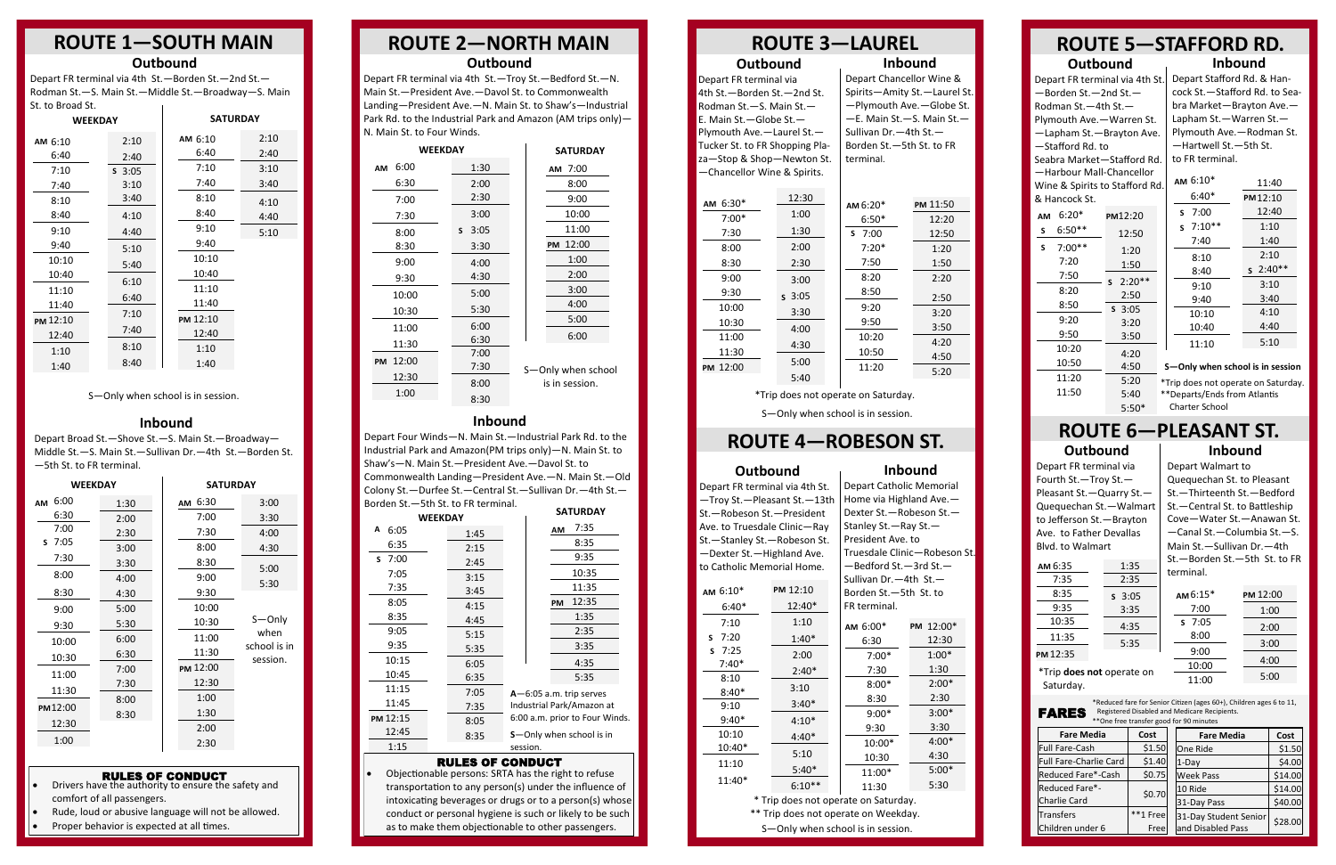## **ROUTE 1—SOUTH MAIN**

## **ROUTE 4—ROBESON ST.**

## **ROUTE 3—LAUREL**

## **Inbound** Depart Chancellor Wine & Spirits—Amity St.—Laurel St. —Plymouth Ave.—Globe St. —E. Main St.—S. Main St.— Sullivan Dr.—4th St.— Borden St.—5th St. to FR terminal.

## **Outbound**

Depart FR terminal via 4th St.—Borden St.—2nd St. Rodman St.—S. Main St.— E. Main St.—Globe St.— Plymouth Ave.—Laurel St.— Tucker St. to FR Shopping Plaza—Stop & Shop—Newton St. —Chancellor Wine & Spirits.

Depart FR terminal via 4th St. Depart Stafford Rd. & Han-—Borden St.—2nd St.— Rodman St.—4th St.— Plymouth Ave.—Warren St. —Lapham St.—Brayton Ave. —Stafford Rd. to Seabra Market—Stafford Rd. —Harbour Mall-Chancellor Wine & Spirits to Stafford Rd. & Hancock St.

## **ROUTE 2—NORTH MAIN Outbound**

## **Inbound**

Depart Broad St.—Shove St.—S. Main St.—Broadway— Middle St.—S. Main St.—Sullivan Dr.—4th St.—Borden St. —5th St. to FR terminal.

cock St.—Stafford Rd. to Seabra Market—Brayton Ave.— Lapham St.—Warren St.— Plymouth Ave.—Rodman St. —Hartwell St.—5th St. to FR terminal.

## **Inbound**

• Drivers have the authority to ensure the safety and comfort of all passengers.

Depart Four Winds—N. Main St.—Industrial Park Rd. to the Industrial Park and Amazon(PM trips only)—N. Main St. to Shaw's—N. Main St.—President Ave.—Davol St. to Commonwealth Landing—President Ave.—N. Main St.—Old Colony St.—Durfee St.—Central St.—Sullivan Dr.—4th St.— Borden St.—5th St. to FR terminal.

#### **ROUTE 5—STAFFORD RD. Inbound Outbound**

Depart FR terminal via 4th St.—Troy St.—Bedford St.—N.

Main St.—President Ave.—Davol St. to Commonwealth Landing—President Ave.—N. Main St. to Shaw's—Industrial Park Rd. to the Industrial Park and Amazon (AM trips only)— N. Main St. to Four Winds.

## **Outbound**

\*Reduced fare for Senior Citizen (ages 60+), Children ages 6 to 11,<br>  $FARTS$  Registered Disabled and Medicare Recipients. Registered Disabled and Medicare Recipients. \*\*One free transfer good for 90 minutes

| <b>WEEKDAY</b>    |            | <b>SATURDAY</b>    |
|-------------------|------------|--------------------|
| 6:00<br><b>AM</b> | 1:30       | AM 7:00            |
| 6:30              | 2:00       | 8:00               |
| 7:00              | 2:30       | 9:00               |
| 7:30              | 3:00       | 10:00              |
| 8:00              | 3:05<br>S. | 11:00              |
| 8:30              | 3:30       | 12:00<br><b>PM</b> |
| 9:00              | 4:00       | 1:00               |
| 9:30              | 4:30       | 2:00               |
| 10:00             | 5:00       | 3:00               |
| 10:30             | 5:30       | 4:00               |
| 11:00             | 6:00       | 5:00               |
| 11:30             | 6:30       | 6:00               |
| 12:00<br>PM       | 7:00       |                    |
|                   | 7:30       | S-Only when school |
| 12:30             | 8:00       | is in session.     |
| 1:00              | 8:30       |                    |

| <b>WEEKDAY</b> |      | <b>SATURDAY</b> |                          |
|----------------|------|-----------------|--------------------------|
| 6:00<br>AM     | 1:30 | AM 6:30         | 3:00                     |
| 6:30           | 2:00 | 7:00            | 3:30                     |
| 7:00           | 2:30 | 7:30            | 4:00                     |
| $5 \t 7:05$    | 3:00 | 8:00            | 4:30                     |
| 7:30           | 3:30 | 8:30            | 5:00                     |
| 8:00           | 4:00 | 9:00            | 5:30                     |
| 8:30           | 4:30 | 9:30            |                          |
| 9:00           | 5:00 | 10:00           |                          |
| 9:30           | 5:30 | 10:30           | $S$ –Only                |
| 10:00          | 6:00 | 11:00           | when                     |
| 10:30          | 6:30 | 11:30           | school is in<br>session. |
| 11:00          | 7:00 | PM 12:00        |                          |
| 11:30          | 7:30 | 12:30           |                          |
|                | 8:00 | 1:00            |                          |
| PM12:00        | 8:30 | 1:30            |                          |
| 12:30          |      | 2:00            |                          |
| 1:00           |      | 2:30            |                          |
|                |      |                 |                          |

**Inbound**

| <b>WEEKDAY</b> |      |          | <b>SATURDAY</b>                  |
|----------------|------|----------|----------------------------------|
| Α<br>6:05      | 1:45 |          | 7:35<br>AM                       |
| 6:35           | 2:15 |          | 8:35                             |
| 7:00<br>S.     | 2:45 |          | 9:35                             |
| 7:05           | 3:15 |          | 10:35                            |
| 7:35           | 3:45 |          | 11:35                            |
| 8:05           | 4:15 |          | 12:35<br><b>PM</b>               |
| 8:35           | 4:45 |          | 1:35                             |
| 9:05           | 5:15 |          | 2:35                             |
| 9:35           | 5:35 |          | 3:35                             |
| 10:15          | 6:05 |          | 4:35                             |
| 10:45          | 6:35 |          | 5:35                             |
| 11:15          | 7:05 |          | $A - 6:05$ a.m. trip serves      |
| 11:45          | 7:35 |          | Industrial Park/Amazon at        |
| PM 12:15       | 8:05 |          | 6:00 a.m. prior to Four Winds.   |
| 12:45          | 8:35 |          | <b>S</b> -Only when school is in |
| 1:15           |      | session. |                                  |
|                |      |          |                                  |

| งแ เง มเงตน งแ |          |                 |      |
|----------------|----------|-----------------|------|
| <b>WEEKDAY</b> |          | <b>SATURDAY</b> |      |
| AM 6:10        | 2:10     | AM 6:10         | 2:10 |
| 6:40           | 2:40     | 6:40            | 2:40 |
| 7:10           | $S$ 3:05 | 7:10            | 3:10 |
| 7:40           | 3:10     | 7:40            | 3:40 |
| 8:10           | 3:40     | 8:10            | 4:10 |
| 8:40           | 4:10     | 8:40            | 4:40 |
| 9:10           | 4:40     | 9:10            | 5:10 |
| 9:40           | 5:10     | 9:40            |      |
| 10:10          | 5:40     | 10:10           |      |
| 10:40          |          | 10:40           |      |
| 11:10          | 6:10     | 11:10           |      |
| 11:40          | 6:40     | 11:40           |      |
| PM 12:10       | 7:10     | PM 12:10        |      |
| 12:40          | 7:40     | 12:40           |      |
| 1:10           | 8:10     | 1:10            |      |
| 1:40           | 8:40     | 1:40            |      |

\*Trip does not operate on Saturday.

\*Trip does not operate on Saturday. \*\*Departs/Ends from Atlantis Charter School

| AM $6:30*$ | 12:30    | AM $6:20*$ | PM 11:50 |
|------------|----------|------------|----------|
| $7:00*$    | 1:00     | $6:50*$    | 12:20    |
| 7:30       | 1:30     | 7:00<br>S  | 12:50    |
| 8:00       | 2:00     | $7:20*$    | 1:20     |
| 8:30       | 2:30     | 7:50       | 1:50     |
| 9:00       | 3:00     | 8:20       | 2:20     |
| 9:30       | $s$ 3:05 | 8:50       | 2:50     |
| 10:00      | 3:30     | 9:20       | 3:20     |
| 10:30      | 4:00     | 9:50       | 3:50     |
| 11:00      |          | 10:20      | 4:20     |
| 11:30      | 4:30     | 10:50      | 4:50     |
| PM 12:00   | 5:00     | 11:20      |          |
|            | 5:40     |            | 5:20     |

## **Outbound**

Depart FR terminal via 4th St.—Borden St.—2nd St.— Rodman St.—S. Main St.—Middle St.—Broadway—S. Main St. to Broad St.

#### RULES OF CONDUCT

Rude, loud or abusive language will not be allowed.

Proper behavior is expected at all times.

| ΑМ | 6:20*    | PM12:20       |
|----|----------|---------------|
| S  | $6:50**$ | 12:50         |
| S  | $7:00**$ | 1:20          |
|    | 7:20     | 1:50          |
|    | 7:50     | $2:20**$<br>S |
|    | 8:20     | 2:50          |
|    | 8:50     | $S$ 3:05      |
|    | 9:20     | 3:20          |
|    | 9:50     | 3:50          |
|    | 10:20    | 4:20          |
|    | 10:50    | 4:50          |
|    | 11:20    | 5:20          |
|    | 11:50    | 5:40          |
|    |          | $5:50*$       |

## RULES OF CONDUCT

 Objectionable persons: SRTA has the right to refuse transportation to any person(s) under the influence of intoxicating beverages or drugs or to a person(s) whose conduct or personal hygiene is such or likely to be such as to make them objectionable to other passengers.

| Depart FR terminal via 4th St. |                                      |  | Depart Catholic Memorial             |                              |
|--------------------------------|--------------------------------------|--|--------------------------------------|------------------------------|
| -Troy St.-Pleasant St.-13th    |                                      |  | Home via Highland Ave.-              |                              |
| St.-Robeson St.-President      |                                      |  | Dexter St. - Robeson St. -           |                              |
| Ave. to Truesdale Clinic-Ray   |                                      |  | Stanley St. - Ray St. -              |                              |
| St.-Stanley St.-Robeson St.    |                                      |  | President Ave. to                    |                              |
| -Dexter St.-Highland Ave.      |                                      |  |                                      | Truesdale Clinic-Robeson St. |
| to Catholic Memorial Home.     |                                      |  | -Bedford St.-3rd St.-                |                              |
|                                |                                      |  | Sullivan Dr. $-4$ th St. $-$         |                              |
| AM 6:10*                       | PM 12:10                             |  | Borden St.-5th St. to                |                              |
| $6:40*$                        | 12:40*                               |  | FR terminal.                         |                              |
| 7:10                           | 1:10                                 |  | AM 6:00*                             | PM 12:00*                    |
| 7:20<br>S                      | $1:40*$                              |  | 6:30                                 | 12:30                        |
| 7:25<br>S                      | 2:00                                 |  | $7:00*$                              | $1:00*$                      |
| $7:40*$                        | $2:40*$                              |  | 7:30                                 | 1:30                         |
| 8:10                           |                                      |  | $8:00*$                              | $2:00*$                      |
| $8:40*$                        | 3:10                                 |  | 8:30                                 | 2:30                         |
| 9:10                           | $3:40*$                              |  |                                      | $3:00*$                      |
| $9:40*$                        | $4:10*$                              |  | $9:00*$                              |                              |
| 10:10                          | $4:40*$                              |  | 9:30                                 | 3:30                         |
| 10:40*                         |                                      |  | 10:00*                               | $4:00*$                      |
| 11:10                          | 5:10                                 |  | 10:30                                | 4:30                         |
|                                | $5:40*$                              |  | 11:00*                               | $5:00*$                      |
| 11:40*                         | $6:10**$                             |  | 11:30                                | 5:30                         |
|                                | * Trip does not operate on Saturday. |  |                                      |                              |
|                                |                                      |  | ** Trip does not operate on Weekday. |                              |

| <b>Fare Media</b>      | Cost     | <b>Fare Media</b>     | Cost    |
|------------------------|----------|-----------------------|---------|
| <b>Full Fare-Cash</b>  | \$1.50   | One Ride              | \$1.50  |
| Full Fare-Charlie Card | \$1.40   | $1-Dav$               | \$4.00  |
| Reduced Fare*-Cash     | \$0.75   | <b>Week Pass</b>      | \$14.00 |
| Reduced Fare*-         | \$0.70   | 10 Ride               | \$14.00 |
| <b>Charlie Card</b>    |          | 31-Day Pass           | \$40.00 |
| <b>Transfers</b>       | **1 Free | 31-Day Student Senior |         |
| Children under 6       | Free     | and Disabled Pass     | \$28.00 |

#### **ROUTE 6—PLEASANT ST. Inbound Outbound**

Depart Walmart to Quequechan St. to Pleasant St.—Thirteenth St.—Bedford St.—Central St. to Battleship Cove—Water St.—Anawan St. —Canal St.—Columbia St.—S. Main St.—Sullivan Dr.—4th St.—Borden St.—5th St. to FR terminal.

S—Only when school is in session.

| AM $6:10*$    | 11:40      |
|---------------|------------|
| $6:40*$       | PM 12:10   |
| 7:00<br>S.    | 12:40      |
| $7:10**$<br>S | 1:10       |
| 7:40          | 1:40       |
| 8:10          | 2:10       |
| 8:40          | $s$ 2:40** |
| 9:10          | 3:10       |
| 9:40          | 3:40       |
| 10:10         | 4:10       |
| 10:40         | 4:40       |
| 11:10         | 5:10       |

S—Only when school is in session.

S—Only when school is in session.

| AM 6:35 | 1:35           |
|---------|----------------|
| 7:35    | 2:35           |
| 8:35    | $S \cdot 3:05$ |
| 9:35    | 3:35           |
| 10:35   | 4:35           |
| 11:35   |                |
|         | 5:35           |

12:35 **PM**

| $AM6:15*$ | PM 12:00 |
|-----------|----------|
| 7:00      | 1:00     |
| $S$ 7:05  | 2:00     |
| 8:00      | 3:00     |
| 9:00      |          |
| 10:00     | 4:00     |
| 11:00     | 5:00     |

Depart FR terminal via Fourth St.—Troy St.— Pleasant St.—Quarry St.— Quequechan St.—Walmart to Jefferson St.—Brayton Ave. to Father Devallas Blvd. to Walmart

\*Trip **does not** operate on Saturday.

#### **S—Only when school is in session**